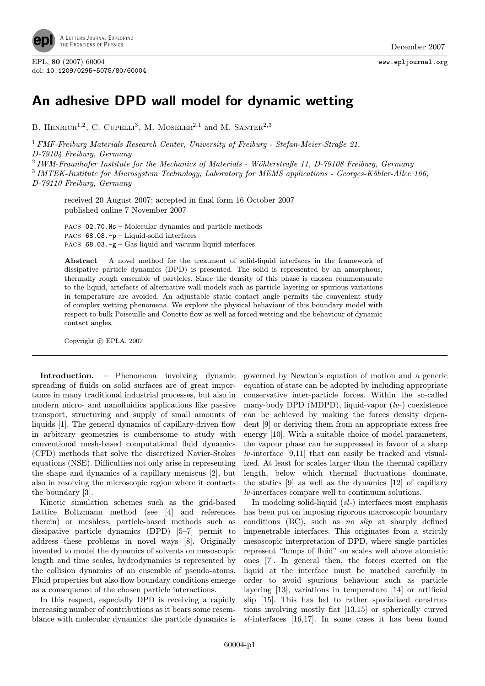

EPL, <sup>80</sup> (2007) 60004 www.epljournal.org doi: 10.1209/0295-5075/80/60004

## An adhesive DPD wall model for dynamic wetting

B. HENRICH<sup>1,2</sup>, C. CUPELLI<sup>3</sup>, M. MOSELER<sup>2,1</sup> and M. SANTER<sup>2,3</sup>

<sup>1</sup> FMF-Freiburg Materials Research Center, University of Freiburg - Stefan-Meier-Straße 21, D-79104 Freiburg, Germany

<sup>2</sup> IWM-Fraunhofer Institute for the Mechanics of Materials - Wöhlerstraße 11, D-79108 Freiburg, Germany  $3$  IMTEK-Institute for Microsystem Technology, Laboratory for MEMS applications - Georges-Köhler-Allee 106, D-79110 Freiburg, Germany

received 20 August 2007; accepted in final form 16 October 2007 published online 7 November 2007

PACS 02.70.Ns – Molecular dynamics and particle methods PACS 68.08.-p – Liquid-solid interfaces PACS  $68.03.-g-Gas-liquid$  and vacuum-liquid interfaces

Abstract – A novel method for the treatment of solid-liquid interfaces in the framework of dissipative particle dynamics (DPD) is presented. The solid is represented by an amorphous, thermally rough ensemble of particles. Since the density of this phase is chosen commensurate to the liquid, artefacts of alternative wall models such as particle layering or spurious variations in temperature are avoided. An adjustable static contact angle permits the convenient study of complex wetting phenomena. We explore the physical behaviour of this boundary model with respect to bulk Poiseuille and Couette flow as well as forced wetting and the behaviour of dynamic contact angles.

Copyright  $\odot$  EPLA, 2007

Introduction. – Phenomena involving dynamic spreading of fluids on solid surfaces are of great importance in many traditional industrial processes, but also in modern micro- and nanofluidics applications like passive transport, structuring and supply of small amounts of liquids [1]. The general dynamics of capillary-driven flow in arbitrary geometries is cumbersome to study with conventional mesh-based computational fluid dynamics (CFD) methods that solve the discretized Navier-Stokes equations (NSE). Difficulties not only arise in representing the shape and dynamics of a capillary meniscus [2], but also in resolving the microscopic region where it contacts the boundary [3].

Kinetic simulation schemes such as the grid-based Lattice Boltzmann method (see [4] and references therein) or meshless, particle-based methods such as dissipative particle dynamics (DPD) [5–7] permit to address these problems in novel ways [8]. Originally invented to model the dynamics of solvents on mesoscopic length and time scales, hydrodynamics is represented by the collision dynamics of an ensemble of pseudo-atoms. Fluid properties but also flow boundary conditions emerge as a consequence of the chosen particle interactions.

In this respect, especially DPD is receiving a rapidly increasing number of contributions as it bears some resemblance with molecular dynamics: the particle dynamics is governed by Newton's equation of motion and a generic equation of state can be adopted by including appropriate conservative inter-particle forces. Within the so-called many-body DPD (MDPD), liquid-vapor  $(lv-)$  coexistence can be achieved by making the forces density dependent [9] or deriving them from an appropriate excess free energy [10]. With a suitable choice of model parameters, the vapour phase can be suppressed in favour of a sharp  $lv$ -interface [9,11] that can easily be tracked and visualized. At least for scales larger than the thermal capillary length, below which thermal fluctuations dominate, the statics [9] as well as the dynamics [12] of capillary lv-interfaces compare well to continuum solutions.

In modeling solid-liquid (sl-) interfaces most emphasis has been put on imposing rigorous macroscopic boundary conditions  $(BC)$ , such as no slip at sharply defined impenetrable interfaces. This originates from a strictly mesoscopic interpretation of DPD, where single particles represent "lumps of fluid" on scales well above atomistic ones [7]. In general then, the forces exerted on the liquid at the interface must be matched carefully in order to avoid spurious behaviour such as particle layering [13], variations in temperature [14] or artificial slip [15]. This has led to rather specialized constructions involving mostly flat [13,15] or spherically curved sl-interfaces [16,17]. In some cases it has been found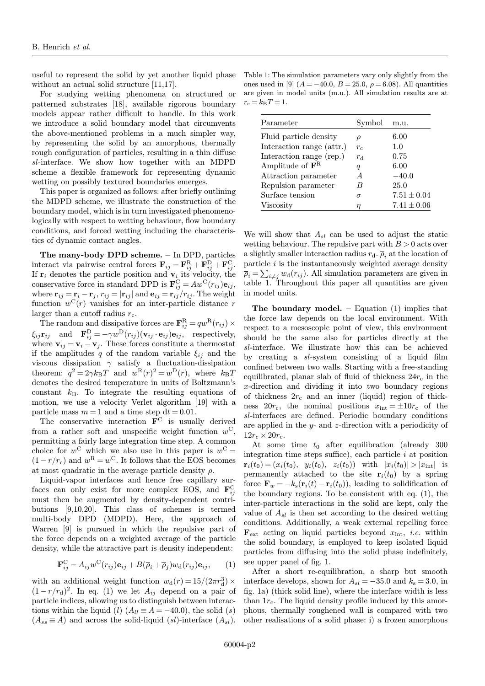useful to represent the solid by yet another liquid phase without an actual solid structure [11,17].

For studying wetting phenomena on structured or patterned substrates [18], available rigorous boundary models appear rather difficult to handle. In this work we introduce a solid boundary model that circumvents the above-mentioned problems in a much simpler way, by representing the solid by an amorphous, thermally rough configuration of particles, resulting in a thin diffuse sl-interface. We show how together with an MDPD scheme a flexible framework for representing dynamic wetting on possibly textured boundaries emerges.

This paper is organized as follows: after briefly outlining the MDPD scheme, we illustrate the construction of the boundary model, which is in turn investigated phenomenologically with respect to wetting behaviour, flow boundary conditions, and forced wetting including the characteristics of dynamic contact angles.

The many-body DPD scheme. – In DPD, particles interact via pairwise central forces  $\mathbf{F}_{ij} = \mathbf{F}_{ij}^{\text{R}} + \mathbf{F}_{ij}^{\text{D}} + \mathbf{F}_{ij}^{\text{C}}$ . If  $r_i$  denotes the particle position and  $v_i$  its velocity, the conservative force in standard DPD is  $\mathbf{F}_{ij}^{\text{C}} = Aw^{\text{C}}(r_{ij})\mathbf{e}_{ij}$ , where  $\mathbf{r}_{ij} = \mathbf{r}_i - \mathbf{r}_j$ ,  $r_{ij} = |\mathbf{r}_{ij}|$  and  $\mathbf{e}_{ij} = \mathbf{r}_{ij}/r_{ij}$ . The weight function  $w^{C}(r)$  vanishes for an inter-particle distance r larger than a cutoff radius  $r_c$ .

The random and dissipative forces are  $\mathbf{F}_{ij}^{\text{R}} = qw^{\text{R}}(r_{ij}) \times$  $\xi_{ij} \mathbf{r}_{ij}$  and  $\mathbf{F}_{ij}^{\text{D}} = -\gamma w^{\text{D}}(r_{ij}) (\mathbf{v}_{ij} \cdot \mathbf{e}_{ij}) \mathbf{e}_{ij}$ , respectively, where  $\mathbf{v}_{ij} = \mathbf{v}_i - \mathbf{v}_j$ . These forces constitute a thermostat if the amplitudes q of the random variable  $\xi_{ii}$  and the viscous dissipation  $\gamma$  satisfy a fluctuation-dissipation theorem:  $q^2 = 2\gamma k_BT$  and  $w^R(r)^2 = w^D(r)$ , where  $k_BT$ denotes the desired temperature in units of Boltzmann's constant  $k_B$ . To integrate the resulting equations of motion, we use a velocity Verlet algorithm [19] with a particle mass  $m = 1$  and a time step  $dt = 0.01$ .

The conservative interaction  $\mathbf{F}^{\text{C}}$  is usually derived from a rather soft and unspecific weight function  $w^C$ permitting a fairly large integration time step. A common choice for  $w^C$  which we also use in this paper is  $w^C =$  $(1 - r/r_c)$  and  $w^R = w^C$ . It follows that the EOS becomes at most quadratic in the average particle density  $\rho$ .

Liquid-vapor interfaces and hence free capillary surfaces can only exist for more complex EOS, and  $\mathbf{F}_{ij}^{\text{C}}$ must then be augmented by density-dependent contributions [9,10,20]. This class of schemes is termed multi-body DPD (MDPD). Here, the approach of Warren [9] is pursued in which the repulsive part of the force depends on a weighted average of the particle density, while the attractive part is density independent:

$$
\mathbf{F}_{ij}^{\mathrm{C}} = A_{ij} w^{\mathrm{C}}(r_{ij}) \mathbf{e}_{ij} + B(\overline{\rho}_i + \overline{\rho}_j) w_{\mathrm{d}}(r_{ij}) \mathbf{e}_{ij},\qquad(1)
$$

with an additional weight function  $w_d(r) = 15/(2\pi r_d^3) \times$  $(1 - r/r_d)^2$ . In eq. (1) we let  $A_{ij}$  depend on a pair of particle indices, allowing us to distinguish between interactions within the liquid (l)  $(A_{ll} \equiv A = -40.0)$ , the solid (s)  $(A_{ss} \equiv A)$  and across the solid-liquid  $(sl)$ -interface  $(A_{sl})$ .

Table 1: The simulation parameters vary only slightly from the ones used in [9]  $(A = -40.0, B = 25.0, \rho = 6.08)$ . All quantities are given in model units (m.u.). All simulation results are at  $r_{\rm c} = k_{\rm B} T = 1. \label{eq:rc}$ 

| Parameter                            | Symbol      | m.u.            |
|--------------------------------------|-------------|-----------------|
| Fluid particle density               | $\rho$      | 6.00            |
| Interaction range (attr.)            | $r_c$       | 1.0             |
| Interaction range (rep.)             | $r_{\rm d}$ | 0.75            |
| Amplitude of $\mathbf{F}^{\text{R}}$ | q           | 6.00            |
| Attraction parameter                 | A           | $-40.0$         |
| Repulsion parameter                  |             | 25.0            |
| Surface tension                      | σ           | $7.51 \pm 0.04$ |
| Viscosity                            | n           | $7.41 \pm 0.06$ |

We will show that  $A_{sl}$  can be used to adjust the static wetting behaviour. The repulsive part with  $B > 0$  acts over a slightly smaller interaction radius  $r_d$ .  $\bar{\rho}_i$  at the location of particle  $i$  is the instantaneously weighted average density  $\overline{\rho}_i = \sum_{i \neq j} w_d(r_{ij})$ . All simulation parameters are given in table 1. Throughout this paper all quantities are given in model units.

The boundary model. – Equation  $(1)$  implies that the force law depends on the local environment. With respect to a mesoscopic point of view, this environment should be the same also for particles directly at the sl-interface. We illustrate how this can be achieved by creating a sl-system consisting of a liquid film confined between two walls. Starting with a free-standing equilibrated, planar slab of fluid of thickness  $24r_c$  in the x-direction and dividing it into two boundary regions of thickness  $2r_c$  and an inner (liquid) region of thickness  $20r_c$ , the nominal positions  $x_{\text{int}} = \pm 10r_c$  of the sl-interfaces are defined. Periodic boundary conditions are applied in the  $y$ - and  $z$ -direction with a periodicity of  $12r_c \times 20r_c$ .

At some time  $t_0$  after equilibration (already 300) integration time steps suffice), each particle  $i$  at position  $\mathbf{r}_i(t_0)=(x_i(t_0), y_i(t_0), z_i(t_0))$  with  $|x_i(t_0)|>|x_{\text{int}}|$  is permanently attached to the site  $\mathbf{r}_i(t_0)$  by a spring force  $\mathbf{F}_w = -k_s(\mathbf{r}_i(t) - \mathbf{r}_i(t_0))$ , leading to solidification of the boundary regions. To be consistent with eq. (1), the inter-particle interactions in the solid are kept, only the value of  $A_{sl}$  is then set according to the desired wetting conditions. Additionally, a weak external repelling force  $\mathbf{F}_{\text{ext}}$  acting on liquid particles beyond  $x_{\text{int}}$ , *i.e.* within the solid boundary, is employed to keep isolated liquid particles from diffusing into the solid phase indefinitely, see upper panel of fig. 1.

After a short re-equilibration, a sharp but smooth interface develops, shown for  $A_{sl} = -35.0$  and  $k_s = 3.0$ , in fig. 1a) (thick solid line), where the interface width is less than  $1r_c$ . The liquid density profile induced by this amorphous, thermally roughened wall is compared with two other realisations of a solid phase: i) a frozen amorphous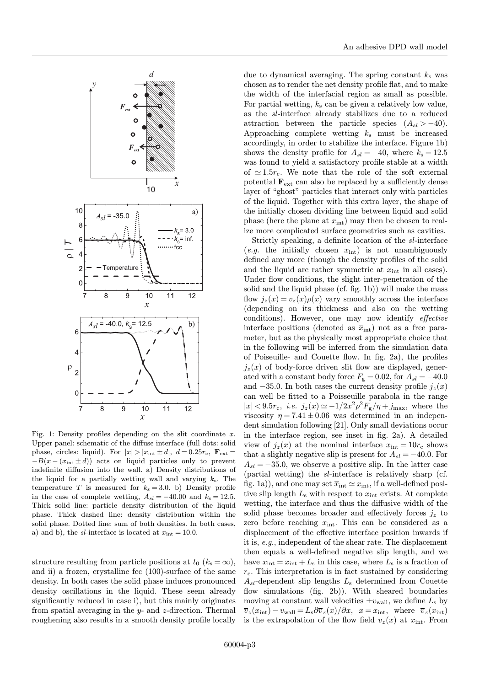

Fig. 1: Density profiles depending on the slit coordinate  $x$ . Upper panel: schematic of the diffuse interface (full dots: solid phase, circles: liquid). For  $|x| > |x_{int} \pm d|$ ,  $d = 0.25r_c$ ,  $\mathbf{F}_{ext} =$  $-B(x - (x_{int} \pm d))$  acts on liquid particles only to prevent indefinite diffusion into the wall. a) Density distributions of the liquid for a partially wetting wall and varying  $k_s$ . The temperature T is measured for  $k_s = 3.0$ . b) Density profile in the case of complete wetting,  $A_{sl} = -40.00$  and  $k_s = 12.5$ . Thick solid line: particle density distribution of the liquid phase. Thick dashed line: density distribution within the solid phase. Dotted line: sum of both densities. In both cases, a) and b), the sl-interface is located at  $x_{\text{int}} = 10.0$ .

structure resulting from particle positions at  $t_0$  ( $k_s = \infty$ ), and ii) a frozen, crystalline fcc (100)-surface of the same density. In both cases the solid phase induces pronounced density oscillations in the liquid. These seem already significantly reduced in case i), but this mainly originates from spatial averaging in the  $y$ - and  $z$ -direction. Thermal roughening also results in a smooth density profile locally

due to dynamical averaging. The spring constant  $k<sub>s</sub>$  was chosen as to render the net density profile flat, and to make the width of the interfacial region as small as possible. For partial wetting,  $k_s$  can be given a relatively low value, as the sl-interface already stabilizes due to a reduced attraction between the particle species  $(A_{sl} > -40)$ . Approaching complete wetting  $k<sub>s</sub>$  must be increased accordingly, in order to stabilize the interface. Figure 1b) shows the density profile for  $A_{sl} = -40$ , where  $k_s = 12.5$ was found to yield a satisfactory profile stable at a width of  $\simeq 1.5r_c$ . We note that the role of the soft external potential  $\mathbf{F}_{ext}$  can also be replaced by a sufficiently dense layer of "ghost" particles that interact only with particles of the liquid. Together with this extra layer, the shape of the initially chosen dividing line between liquid and solid phase (here the plane at  $x_{\text{int}}$ ) may then be chosen to realize more complicated surface geometries such as cavities.

Strictly speaking, a definite location of the sl-interface (e.g. the initially chosen  $x_{\text{int}}$ ) is not unambiguously defined any more (though the density profiles of the solid and the liquid are rather symmetric at  $x_{\text{int}}$  in all cases). Under flow conditions, the slight inter-penetration of the solid and the liquid phase (cf. fig. 1b)) will make the mass flow  $i_z(x) = v_z(x)\rho(x)$  vary smoothly across the interface (depending on its thickness and also on the wetting conditions). However, one may now identify effective interface positions (denoted as  $\overline{x}_{int}$ ) not as a free parameter, but as the physically most appropriate choice that in the following will be inferred from the simulation data of Poiseuille- and Couette flow. In fig. 2a), the profiles  $j_z(x)$  of body-force driven slit flow are displayed, generated with a constant body force  $F_{\rm g} = 0.02$ , for  $A_{sl} = -40.0$ and  $-35.0$ . In both cases the current density profile  $j_z(x)$ can well be fitted to a Poisseuille parabola in the range  $|x| < 9.5r_c$ , *i.e.*  $j_z(x) \simeq -1/2x^2\rho^2 F_{\rm g}/\eta + j_{\rm max}$ , where the viscosity  $\eta = 7.41 \pm 0.06$  was determined in an independent simulation following [21]. Only small deviations occur in the interface region, see inset in fig. 2a). A detailed view of  $j_z(x)$  at the nominal interface  $x_{\text{int}} = 10r_c$  shows that a slightly negative slip is present for  $A_{sl} = -40.0$ . For  $A_{sl} = -35.0$ , we observe a positive slip. In the latter case (partial wetting) the sl-interface is relatively sharp (cf. fig. 1a)), and one may set  $\overline{x}_{\text{int}} \simeq x_{\text{int}}$ , if a well-defined positive slip length  $L_s$  with respect to  $x_{\text{int}}$  exists. At complete wetting, the interface and thus the diffusive width of the solid phase becomes broader and effectively forces  $j_z$  to zero before reaching  $x_{\text{int}}$ . This can be considered as a displacement of the effective interface position inwards if it is, e.g., independent of the shear rate. The displacement then equals a well-defined negative slip length, and we have  $\overline{x}_{\text{int}} = x_{\text{int}} + L_s$  in this case, where  $L_s$  is a fraction of  $r_c$ . This interpretation is in fact sustained by considering  $A_{sl}$ -dependent slip lengths  $L_s$  determined from Couette flow simulations (fig. 2b)). With sheared boundaries moving at constant wall velocities  $\pm v_{\text{wall}}$ , we define  $L_{\text{s}}$  by  $\overline{v}_z(x_{\text{int}}) - v_{\text{wall}} = L_s \partial \overline{v}_z(x)/\partial x$ ,  $x = x_{\text{int}}$ , where  $\overline{v}_z(x_{\text{int}})$ is the extrapolation of the flow field  $v_z(x)$  at  $x_{\text{int}}$ . From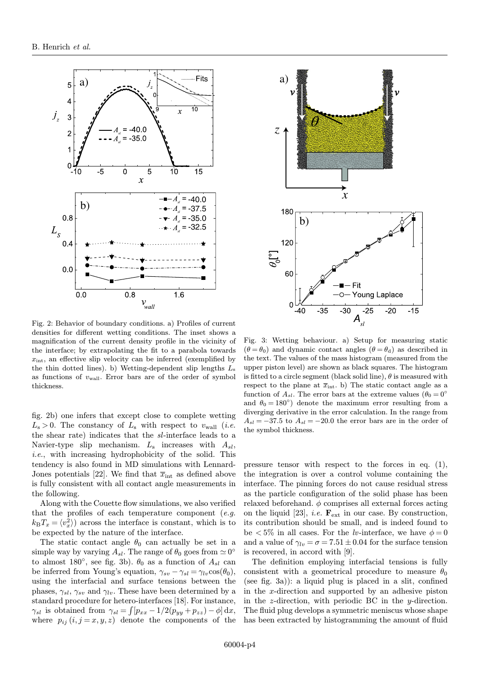

Fig. 2: Behavior of boundary conditions. a) Profiles of current densities for different wetting conditions. The inset shows a magnification of the current density profile in the vicinity of the interface; by extrapolating the fit to a parabola towards  $x_{\text{int}}$ , an effective slip velocity can be inferred (exemplified by the thin dotted lines). b) Wetting-dependent slip lengths  $L_s$ as functions of  $v_{\text{wall}}$ . Error bars are of the order of symbol thickness.

fig. 2b) one infers that except close to complete wetting  $L_s > 0$ . The constancy of  $L_s$  with respect to  $v_{\text{wall}}$  (*i.e.* the shear rate) indicates that the sl-interface leads to a Navier-type slip mechanism.  $L_s$  increases with  $A_{sl}$ , i.e., with increasing hydrophobicity of the solid. This tendency is also found in MD simulations with Lennard-Jones potentials [22]. We find that  $\overline{x}_{int}$  as defined above is fully consistent with all contact angle measurements in the following.

Along with the Couette flow simulations, we also verified that the profiles of each temperature component  $(e.g., )$  $k_{\rm B}T_x = \langle v_x^2 \rangle$  across the interface is constant, which is to be expected by the nature of the interface.

The static contact angle  $\theta_0$  can actually be set in a simple way by varying  $A_{sl}$ . The range of  $\theta_0$  goes from  $\simeq 0^{\circ}$ to almost 180 $^{\circ}$ , see fig. 3b).  $\theta_0$  as a function of  $A_{sl}$  can be inferred from Young's equation,  $\gamma_{sv} - \gamma_{sl} = \gamma_{lv} \cos(\theta_0)$ , using the interfacial and surface tensions between the phases,  $\gamma_{sl}$ ,  $\gamma_{sv}$  and  $\gamma_{lv}$ . These have been determined by a standard procedure for hetero-interfaces [18]. For instance,  $\gamma_{sl}$  is obtained from  $\gamma_{sl} = \int [p_{xx} - 1/2(p_{yy} + p_{zz}) - \phi] dx$ , where  $p_{ij}$   $(i, j = x, y, z)$  denote the components of the



Fig. 3: Wetting behaviour. a) Setup for measuring static  $(\theta = \theta_0)$  and dynamic contact angles  $(\theta = \theta_d)$  as described in the text. The values of the mass histogram (measured from the upper piston level) are shown as black squares. The histogram is fitted to a circle segment (black solid line),  $\theta$  is measured with respect to the plane at  $\overline{x}_{\text{int}}$ . b) The static contact angle as a function of  $A_{sl}$ . The error bars at the extreme values  $(\theta_0 = 0^{\circ})$ and  $\theta_0 = 180^\circ$  denote the maximum error resulting from a diverging derivative in the error calculation. In the range from  $A_{sl} = -37.5$  to  $A_{sl} = -20.0$  the error bars are in the order of the symbol thickness.

pressure tensor with respect to the forces in eq. (1), the integration is over a control volume containing the interface. The pinning forces do not cause residual stress as the particle configuration of the solid phase has been relaxed beforehand.  $\phi$  comprises all external forces acting on the liquid [23], *i.e.*  $\mathbf{F}_{ext}$  in our case. By construction, its contribution should be small, and is indeed found to be  $\langle 5\%$  in all cases. For the *lv*-interface, we have  $\phi = 0$ and a value of  $\gamma_{lv} = \sigma = 7.51 \pm 0.04$  for the surface tension is recovered, in accord with [9].

The definition employing interfacial tensions is fully consistent with a geometrical procedure to measure  $\theta_0$ (see fig. 3a)): a liquid plug is placed in a slit, confined in the x-direction and supported by an adhesive piston in the  $z$ -direction, with periodic BC in the  $y$ -direction. The fluid plug develops a symmetric meniscus whose shape has been extracted by histogramming the amount of fluid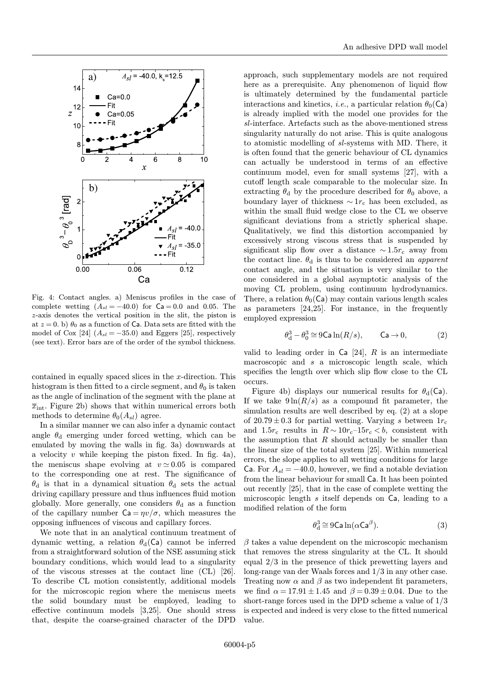

Fig. 4: Contact angles. a) Meniscus profiles in the case of complete wetting  $(A_{sl} = -40.0)$  for  $Ca = 0.0$  and 0.05. The z-axis denotes the vertical position in the slit, the piston is at  $z = 0$ . b)  $\theta_0$  as a function of Ca. Data sets are fitted with the model of Cox [24]  $(A_{sl} = -35.0)$  and Eggers [25], respectively (see text). Error bars are of the order of the symbol thickness.

contained in equally spaced slices in the  $x$ -direction. This histogram is then fitted to a circle segment, and  $\theta_0$  is taken as the angle of inclination of the segment with the plane at  $\overline{x}_{\text{int}}$ . Figure 2b) shows that within numerical errors both methods to determine  $\theta_0(A_{sl})$  agree.

In a similar manner we can also infer a dynamic contact angle  $\theta_d$  emerging under forced wetting, which can be emulated by moving the walls in fig. 3a) downwards at a velocity v while keeping the piston fixed. In fig. 4a), the meniscus shape evolving at  $v \approx 0.05$  is compared to the corresponding one at rest. The significance of  $\theta_d$  is that in a dynamical situation  $\theta_d$  sets the actual driving capillary pressure and thus influences fluid motion globally. More generally, one considers  $\theta_d$  as a function of the capillary number  $Ca = \eta v / \sigma$ , which measures the opposing influences of viscous and capillary forces.

We note that in an analytical continuum treatment of dynamic wetting, a relation  $\theta_d(Ca)$  cannot be inferred from a straightforward solution of the NSE assuming stick boundary conditions, which would lead to a singularity of the viscous stresses at the contact line (CL) [26]. To describe CL motion consistently, additional models for the microscopic region where the meniscus meets the solid boundary must be employed, leading to effective continuum models [3,25]. One should stress that, despite the coarse-grained character of the DPD

approach, such supplementary models are not required here as a prerequisite. Any phenomenon of liquid flow is ultimately determined by the fundamental particle interactions and kinetics, *i.e.*, a particular relation  $\theta_0(Ca)$ is already implied with the model one provides for the sl-interface. Artefacts such as the above-mentioned stress singularity naturally do not arise. This is quite analogous to atomistic modelling of sl-systems with MD. There, it is often found that the generic behaviour of CL dynamics can actually be understood in terms of an effective continuum model, even for small systems [27], with a cutoff length scale comparable to the molecular size. In extracting  $\theta_d$  by the procedure described for  $\theta_0$  above, a boundary layer of thickness  $\sim 1r_c$  has been excluded, as within the small fluid wedge close to the CL we observe significant deviations from a strictly spherical shape. Qualitatively, we find this distortion accompanied by excessively strong viscous stress that is suspended by significant slip flow over a distance  $\sim 1.5r_c$  away from the contact line.  $\theta_d$  is thus to be considered an *apparent* contact angle, and the situation is very similar to the one considered in a global asymptotic analysis of the moving CL problem, using continuum hydrodynamics. There, a relation  $\theta_0(\text{Ca})$  may contain various length scales as parameters [24,25]. For instance, in the frequently employed expression

$$
\theta_{\rm d}^3 - \theta_{\rm 0}^3 \cong 9{\rm Ca} \ln(R/s), \qquad {\rm Ca} \to 0, \tag{2}
$$

valid to leading order in  $Ca$  [24], R is an intermediate macroscopic and s a microscopic length scale, which specifies the length over which slip flow close to the CL occurs.

Figure 4b) displays our numerical results for  $\theta_d(Ca)$ . If we take  $9 \ln(R/s)$  as a compound fit parameter, the simulation results are well described by eq. (2) at a slope of  $20.79 \pm 0.3$  for partial wetting. Varying s between  $1r_c$ and 1.5 $r_c$  results in  $R \sim 10r_c-15r_c < b$ , consistent with the assumption that  $R$  should actually be smaller than the linear size of the total system [25]. Within numerical errors, the slope applies to all wetting conditions for large Ca. For  $A_{sl} = -40.0$ , however, we find a notable deviation from the linear behaviour for small Ca. It has been pointed out recently [25], that in the case of complete wetting the microscopic length s itself depends on Ca, leading to a modified relation of the form

$$
\theta_{\rm d}^3 \cong 9\mathsf{Ca} \ln(\alpha \mathsf{Ca}^\beta). \tag{3}
$$

 $\beta$  takes a value dependent on the microscopic mechanism that removes the stress singularity at the CL. It should equal 2/3 in the presence of thick prewetting layers and long-range van der Waals forces and 1/3 in any other case. Treating now  $\alpha$  and  $\beta$  as two independent fit parameters, we find  $\alpha = 17.91 \pm 1.45$  and  $\beta = 0.39 \pm 0.04$ . Due to the short-range forces used in the DPD scheme a value of 1/3 is expected and indeed is very close to the fitted numerical value.